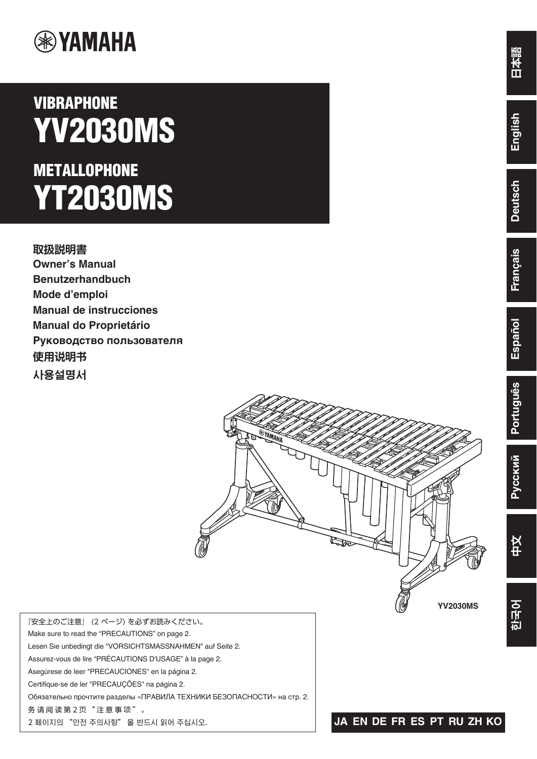

# **VIBRAPHONE YV2030MS METALLOPHONE YT2030MS**

**取扱説明書 Owner's Manual Benutzerhandbuch Mode d'emploi Manual de instrucciones Manual do Proprietário Руководство пользователя** 使用说明书 사용설명서



『安全上のご注意』 (2 ページ) を必ずお読みください。 Make sure to read the "PRECAUTIONS" on page 2. Lesen Sie unbedingt die "VORSICHTSMASSNAHMEN" auf Seite 2. Assurez-vous de lire "PRÉCAUTIONS D'USAGE" à la page 2. Asegúrese de leer "PRECAUCIONES" en la página 2. Certifique-se de ler "PRECAUÇÕES" na página 2. Обязательно прочтите разделы «ПРАВИЛА ТЕХНИКИ БЕЗОПАСНОСТИ» на стр. 2. 务请阅读第2页"注意事项"。 2 페이지의 "안전 주의사항" 을 반드시 읽어 주십시오.

**YV2030MS**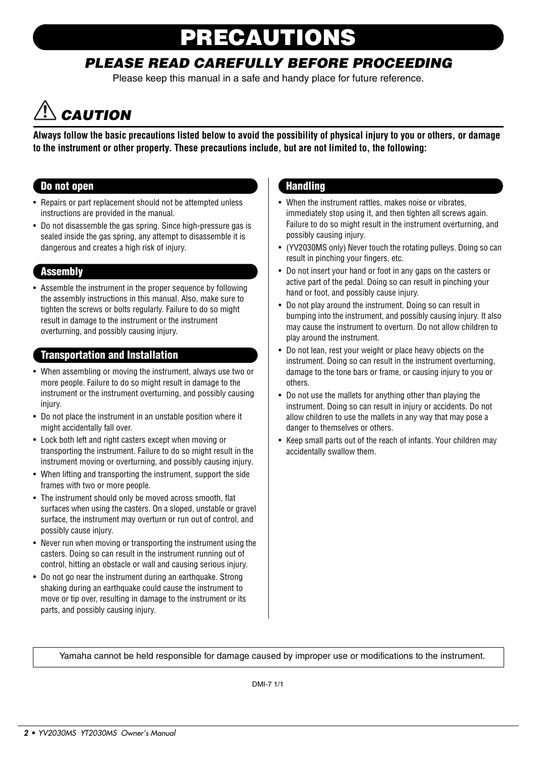# **PRECISION**

### PLEASE READ CAREFULLY BEFORE PROCEEDING

Please keep this manual in a safe and handy place for future reference.

## **CAUTION**

**Always follow the basic precautions listed below to avoid the possibility of physical injury to you or others, or damage to the instrument or other property. These precautions include, but are not limited to, the following:**

#### Do not open

- Repairs or part replacement should not be attempted unless instructions are provided in the manual.
- Do not disassemble the gas spring. Since high-pressure gas is sealed inside the gas spring, any attempt to disassemble it is dangerous and creates a high risk of injury.

#### **Assembly**

• Assemble the instrument in the proper sequence by following the assembly instructions in this manual. Also, make sure to tighten the screws or bolts regularly. Failure to do so might result in damage to the instrument or the instrument overturning, and possibly causing injury.

#### Transportation and Installation

- When assembling or moving the instrument, always use two or more people. Failure to do so might result in damage to the instrument or the instrument overturning, and possibly causing injury.
- Do not place the instrument in an unstable position where it might accidentally fall over.
- Lock both left and right casters except when moving or transporting the instrument. Failure to do so might result in the instrument moving or overturning, and possibly causing injury.
- When lifting and transporting the instrument, support the side frames with two or more people.
- The instrument should only be moved across smooth, flat surfaces when using the casters. On a sloped, unstable or gravel surface, the instrument may overturn or run out of control, and possibly cause injury.
- Never run when moving or transporting the instrument using the casters. Doing so can result in the instrument running out of control, hitting an obstacle or wall and causing serious injury.
- Do not go near the instrument during an earthquake. Strong shaking during an earthquake could cause the instrument to move or tip over, resulting in damage to the instrument or its parts, and possibly causing injury.

#### **Handling**

- When the instrument rattles, makes noise or vibrates, immediately stop using it, and then tighten all screws again. Failure to do so might result in the instrument overturning, and possibly causing injury.
- (YV2030MS only) Never touch the rotating pulleys. Doing so can result in pinching your fingers, etc.
- Do not insert your hand or foot in any gaps on the casters or active part of the pedal. Doing so can result in pinching your hand or foot, and possibly cause injury.
- Do not play around the instrument. Doing so can result in bumping into the instrument, and possibly causing injury. It also may cause the instrument to overturn. Do not allow children to play around the instrument.
- Do not lean, rest your weight or place heavy objects on the instrument. Doing so can result in the instrument overturning, damage to the tone bars or frame, or causing injury to you or others.
- Do not use the mallets for anything other than playing the instrument. Doing so can result in injury or accidents. Do not allow children to use the mallets in any way that may pose a danger to themselves or others.
- Keep small parts out of the reach of infants. Your children may accidentally swallow them.

Yamaha cannot be held responsible for damage caused by improper use or modifications to the instrument.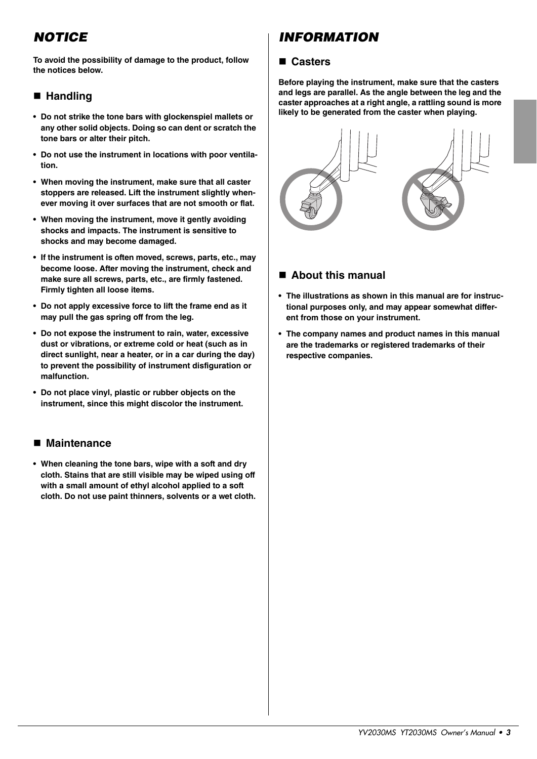### **NOTICE**

**To avoid the possibility of damage to the product, follow the notices below.**

#### **Handling**

- **Do not strike the tone bars with glockenspiel mallets or any other solid objects. Doing so can dent or scratch the tone bars or alter their pitch.**
- **Do not use the instrument in locations with poor ventilation.**
- **When moving the instrument, make sure that all caster stoppers are released. Lift the instrument slightly whenever moving it over surfaces that are not smooth or flat.**
- **When moving the instrument, move it gently avoiding shocks and impacts. The instrument is sensitive to shocks and may become damaged.**
- **If the instrument is often moved, screws, parts, etc., may become loose. After moving the instrument, check and make sure all screws, parts, etc., are firmly fastened. Firmly tighten all loose items.**
- **Do not apply excessive force to lift the frame end as it may pull the gas spring off from the leg.**
- **Do not expose the instrument to rain, water, excessive dust or vibrations, or extreme cold or heat (such as in direct sunlight, near a heater, or in a car during the day) to prevent the possibility of instrument disfiguration or malfunction.**
- **Do not place vinyl, plastic or rubber objects on the instrument, since this might discolor the instrument.**

#### **Maintenance**

**• When cleaning the tone bars, wipe with a soft and dry cloth. Stains that are still visible may be wiped using off with a small amount of ethyl alcohol applied to a soft cloth. Do not use paint thinners, solvents or a wet cloth.**

### INFORMATION

#### **Casters**

**Before playing the instrument, make sure that the casters and legs are parallel. As the angle between the leg and the caster approaches at a right angle, a rattling sound is more likely to be generated from the caster when playing.**



#### **About this manual**

- **The illustrations as shown in this manual are for instructional purposes only, and may appear somewhat different from those on your instrument.**
- **The company names and product names in this manual are the trademarks or registered trademarks of their respective companies.**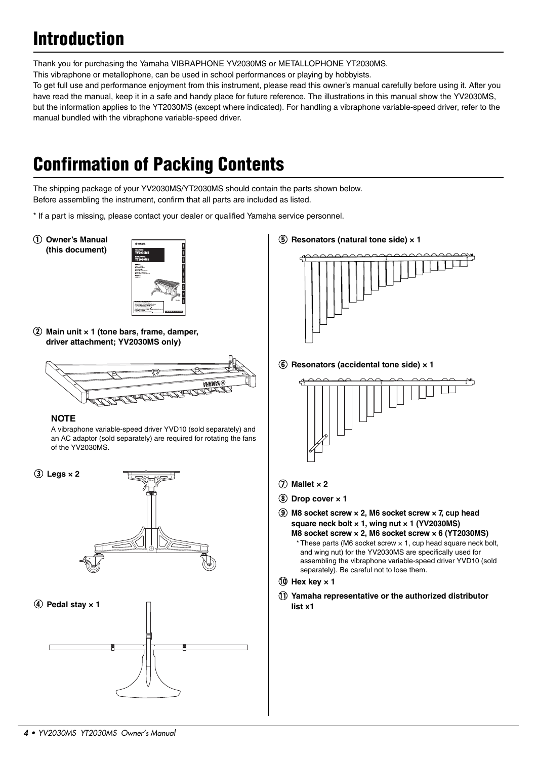## Introduction

Thank you for purchasing the Yamaha VIBRAPHONE YV2030MS or METALLOPHONE YT2030MS.

This vibraphone or metallophone, can be used in school performances or playing by hobbyists.

To get full use and performance enjoyment from this instrument, please read this owner's manual carefully before using it. After you have read the manual, keep it in a safe and handy place for future reference. The illustrations in this manual show the YV2030MS, but the information applies to the YT2030MS (except where indicated). For handling a vibraphone variable-speed driver, refer to the manual bundled with the vibraphone variable-speed driver.

## Confirmation of Packing Contents

The shipping package of your YV2030MS/YT2030MS should contain the parts shown below. Before assembling the instrument, confirm that all parts are included as listed.

\* If a part is missing, please contact your dealer or qualified Yamaha service personnel.

q **Owner's Manual (this document)**



w **Main unit × 1 (tone bars, frame, damper, driver attachment; YV2030MS only)**





A vibraphone variable-speed driver YVD10 (sold separately) and an AC adaptor (sold separately) are required for rotating the fans of the YV2030MS.



**(5) Resonators (natural tone side) × 1** 



**6** Resonators (accidental tone side)  $\times$  1



 $\overline{O}$  Mallet x 2

**(8)** Drop cover  $\times$  1

**(9) M8 socket screw × 2, M6 socket screw × 7, cup head square neck bolt × 1, wing nut × 1 (YV2030MS) M8 socket screw × 2, M6 socket screw × 6 (YT2030MS)**  $*$  These parts (M6 socket screw  $\times$  1, cup head square neck bolt, and wing nut) for the YV2030MS are specifically used for assembling the vibraphone variable-speed driver YVD10 (sold separately). Be careful not to lose them.

#### $(0)$  Hex key  $\times$  1

!1 **Yamaha representative or the authorized distributor list x1**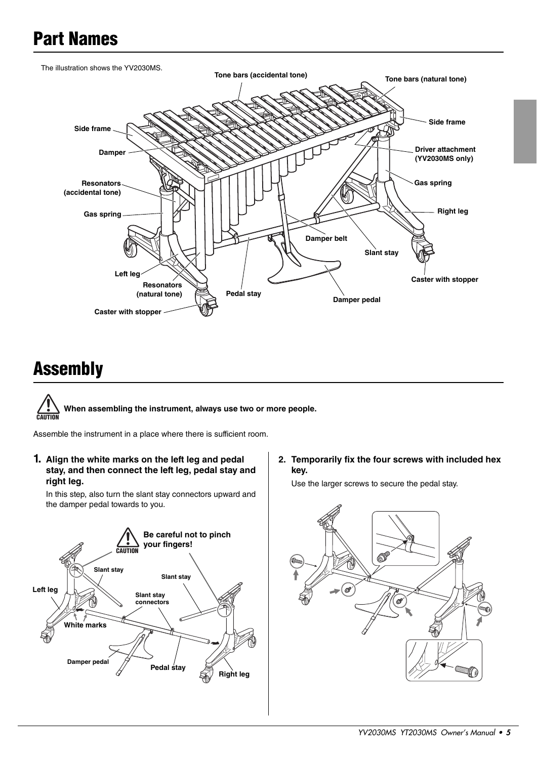### Part Names



### Assembly



Assemble the instrument in a place where there is sufficient room.

**1. Align the white marks on the left leg and pedal stay, and then connect the left leg, pedal stay and right leg.**

In this step, also turn the slant stay connectors upward and the damper pedal towards to you.



**2. Temporarily fix the four screws with included hex key.**

Use the larger screws to secure the pedal stay.

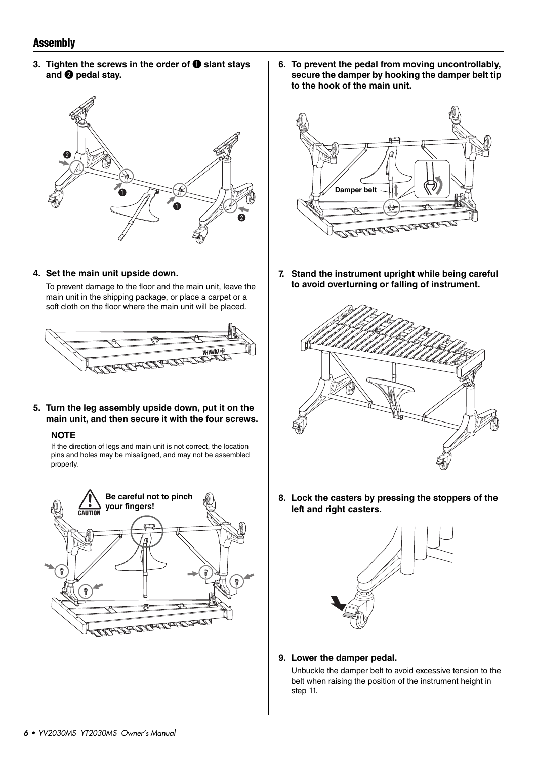#### Assembly

**3. Tighten the screws in the order of**  $\bullet$  **slant stays** and <sup>**@**</sup> pedal stay.



**6. To prevent the pedal from moving uncontrollably, secure the damper by hooking the damper belt tip to the hook of the main unit.**



**7. Stand the instrument upright while being careful to avoid overturning or falling of instrument.**



To prevent damage to the floor and the main unit, leave the main unit in the shipping package, or place a carpet or a soft cloth on the floor where the main unit will be placed.

**4. Set the main unit upside down.**

**5. Turn the leg assembly upside down, put it on the main unit, and then secure it with the four screws.**

#### **NOTE**

If the direction of legs and main unit is not correct, the location pins and holes may be misaligned, and may not be assembled properly.





**8. Lock the casters by pressing the stoppers of the left and right casters.**



**9. Lower the damper pedal.**

Unbuckle the damper belt to avoid excessive tension to the belt when raising the position of the instrument height in step 11.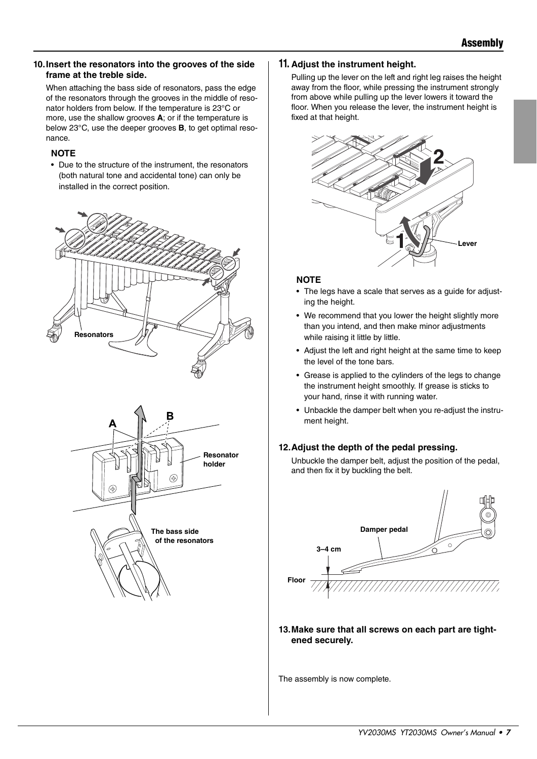#### **10.Insert the resonators into the grooves of the side frame at the treble side.**

When attaching the bass side of resonators, pass the edge of the resonators through the grooves in the middle of resonator holders from below. If the temperature is 23°C or more, use the shallow grooves **A**; or if the temperature is below 23°C, use the deeper grooves **B**, to get optimal resonance.

#### **NOTE**

• Due to the structure of the instrument, the resonators (both natural tone and accidental tone) can only be installed in the correct position.





#### **11. Adjust the instrument height.**

Pulling up the lever on the left and right leg raises the height away from the floor, while pressing the instrument strongly from above while pulling up the lever lowers it toward the floor. When you release the lever, the instrument height is fixed at that height.



#### **NOTE**

- The legs have a scale that serves as a guide for adjusting the height.
- We recommend that you lower the height slightly more than you intend, and then make minor adjustments while raising it little by little.
- Adjust the left and right height at the same time to keep the level of the tone bars.
- Grease is applied to the cylinders of the legs to change the instrument height smoothly. If grease is sticks to your hand, rinse it with running water.
- Unbackle the damper belt when you re-adjust the instrument height.

#### **12.Adjust the depth of the pedal pressing.**

Unbuckle the damper belt, adjust the position of the pedal, and then fix it by buckling the belt.



**13.Make sure that all screws on each part are tightened securely.**

The assembly is now complete.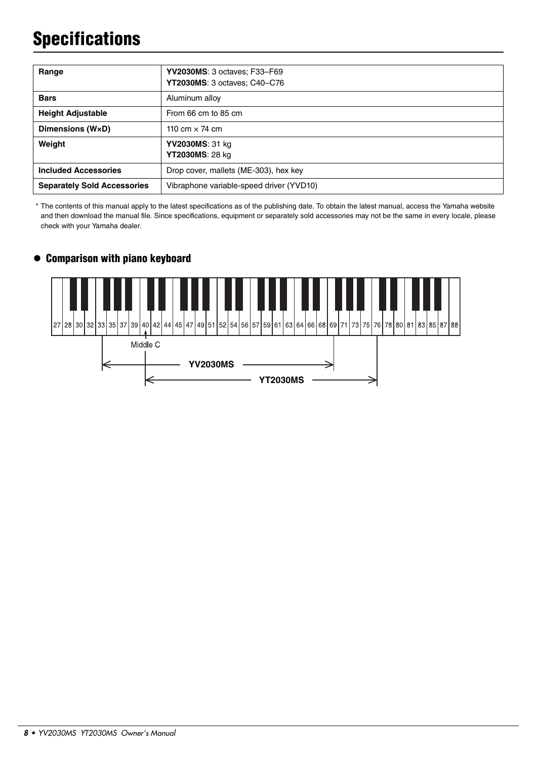## **Specifications**

| Range                              | YV2030MS: 3 octaves; F33-F69<br><b>YT2030MS: 3 octaves: C40–C76</b> |
|------------------------------------|---------------------------------------------------------------------|
| <b>Bars</b>                        | Aluminum alloy                                                      |
| <b>Height Adjustable</b>           | From 66 cm to 85 cm                                                 |
| Dimensions (WxD)                   | 110 cm $\times$ 74 cm                                               |
| Weight                             | YV2030MS: 31 kg<br>YT2030MS: 28 kg                                  |
| <b>Included Accessories</b>        | Drop cover, mallets (ME-303), hex key                               |
| <b>Separately Sold Accessories</b> | Vibraphone variable-speed driver (YVD10)                            |

\* The contents of this manual apply to the latest specifications as of the publishing date. To obtain the latest manual, access the Yamaha website and then download the manual file. Since specifications, equipment or separately sold accessories may not be the same in every locale, please check with your Yamaha dealer.

#### Comparison with piano keyboard

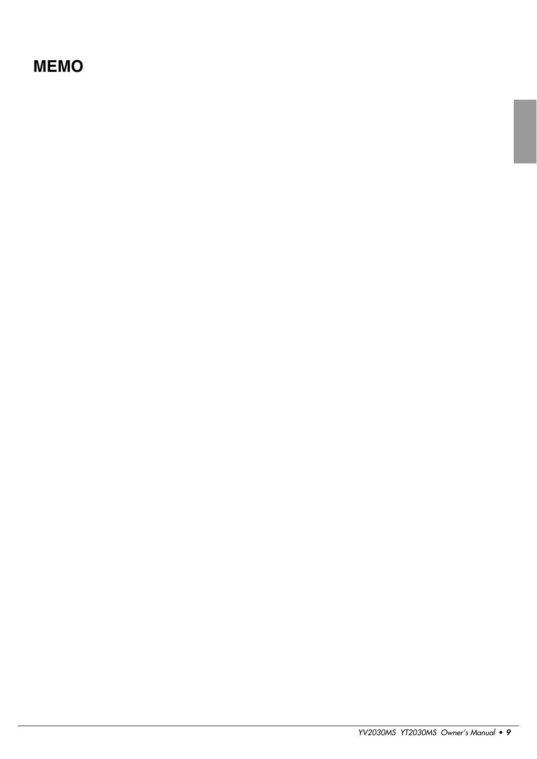### **MEMO**